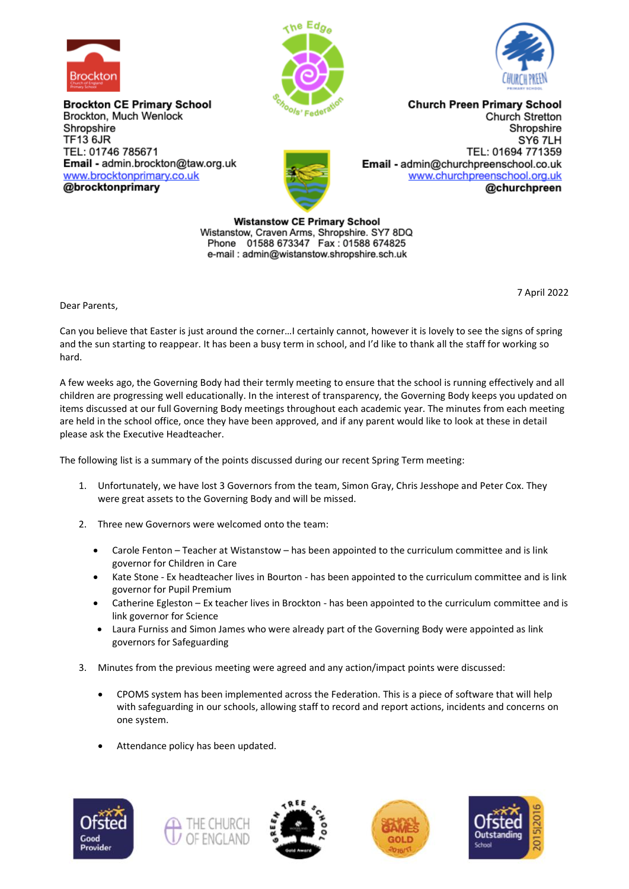

**Brockton CE Primary School** Brockton, Much Wenlock Shropshire **TF13 6JR** TEL: 01746 785671 Email - admin.brockton@taw.org.uk www.brocktonprimary.co.uk @brocktonprimary





**Church Preen Primary School** Church Stretton Shropshire SY6 7LH TEL: 01694 771359 Email - admin@churchpreenschool.co.uk www.churchpreenschool.org.uk @churchpreen

**Wistanstow CE Primary School** Wistanstow, Craven Arms, Shropshire. SY7 8DQ<br>Phone 01588 673347 Fax : 01588 674825 e-mail: admin@wistanstow.shropshire.sch.uk

7 April 2022

Dear Parents,

Can you believe that Easter is just around the corner…I certainly cannot, however it is lovely to see the signs of spring and the sun starting to reappear. It has been a busy term in school, and I'd like to thank all the staff for working so hard.

A few weeks ago, the Governing Body had their termly meeting to ensure that the school is running effectively and all children are progressing well educationally. In the interest of transparency, the Governing Body keeps you updated on items discussed at our full Governing Body meetings throughout each academic year. The minutes from each meeting are held in the school office, once they have been approved, and if any parent would like to look at these in detail please ask the Executive Headteacher.

The following list is a summary of the points discussed during our recent Spring Term meeting:

- 1. Unfortunately, we have lost 3 Governors from the team, Simon Gray, Chris Jesshope and Peter Cox. They were great assets to the Governing Body and will be missed.
- 2. Three new Governors were welcomed onto the team:
	- Carole Fenton Teacher at Wistanstow has been appointed to the curriculum committee and is link governor for Children in Care
	- Kate Stone Ex headteacher lives in Bourton has been appointed to the curriculum committee and is link governor for Pupil Premium
	- Catherine Egleston Ex teacher lives in Brockton has been appointed to the curriculum committee and is link governor for Science
	- Laura Furniss and Simon James who were already part of the Governing Body were appointed as link governors for Safeguarding
- 3. Minutes from the previous meeting were agreed and any action/impact points were discussed:
	- CPOMS system has been implemented across the Federation. This is a piece of software that will help with safeguarding in our schools, allowing staff to record and report actions, incidents and concerns on one system.
	- Attendance policy has been updated.









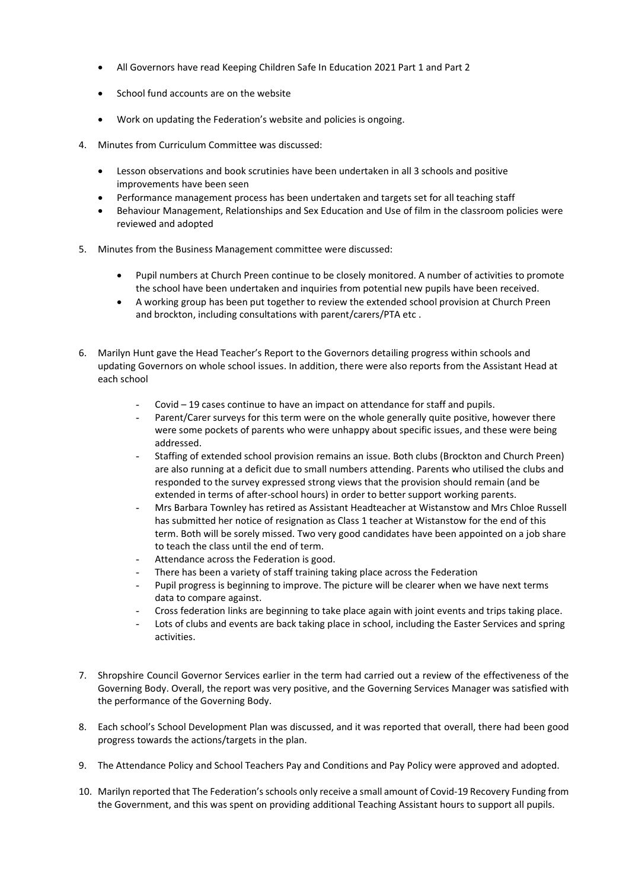- All Governors have read Keeping Children Safe In Education 2021 Part 1 and Part 2
- School fund accounts are on the website
- Work on updating the Federation's website and policies is ongoing.
- 4. Minutes from Curriculum Committee was discussed:
	- Lesson observations and book scrutinies have been undertaken in all 3 schools and positive improvements have been seen
	- Performance management process has been undertaken and targets set for all teaching staff
	- Behaviour Management, Relationships and Sex Education and Use of film in the classroom policies were reviewed and adopted
- 5. Minutes from the Business Management committee were discussed:
	- Pupil numbers at Church Preen continue to be closely monitored. A number of activities to promote the school have been undertaken and inquiries from potential new pupils have been received.
	- A working group has been put together to review the extended school provision at Church Preen and brockton, including consultations with parent/carers/PTA etc .
- 6. Marilyn Hunt gave the Head Teacher's Report to the Governors detailing progress within schools and updating Governors on whole school issues. In addition, there were also reports from the Assistant Head at each school
	- Covid 19 cases continue to have an impact on attendance for staff and pupils.
	- Parent/Carer surveys for this term were on the whole generally quite positive, however there were some pockets of parents who were unhappy about specific issues, and these were being addressed.
	- Staffing of extended school provision remains an issue. Both clubs (Brockton and Church Preen) are also running at a deficit due to small numbers attending. Parents who utilised the clubs and responded to the survey expressed strong views that the provision should remain (and be extended in terms of after-school hours) in order to better support working parents.
	- Mrs Barbara Townley has retired as Assistant Headteacher at Wistanstow and Mrs Chloe Russell has submitted her notice of resignation as Class 1 teacher at Wistanstow for the end of this term. Both will be sorely missed. Two very good candidates have been appointed on a job share to teach the class until the end of term.
	- Attendance across the Federation is good.
	- There has been a variety of staff training taking place across the Federation
	- Pupil progress is beginning to improve. The picture will be clearer when we have next terms data to compare against.
	- Cross federation links are beginning to take place again with joint events and trips taking place.
	- Lots of clubs and events are back taking place in school, including the Easter Services and spring activities.
- 7. Shropshire Council Governor Services earlier in the term had carried out a review of the effectiveness of the Governing Body. Overall, the report was very positive, and the Governing Services Manager was satisfied with the performance of the Governing Body.
- 8. Each school's School Development Plan was discussed, and it was reported that overall, there had been good progress towards the actions/targets in the plan.
- 9. The Attendance Policy and School Teachers Pay and Conditions and Pay Policy were approved and adopted.
- 10. Marilyn reported that The Federation'sschools only receive a small amount of Covid-19 Recovery Funding from the Government, and this was spent on providing additional Teaching Assistant hours to support all pupils.